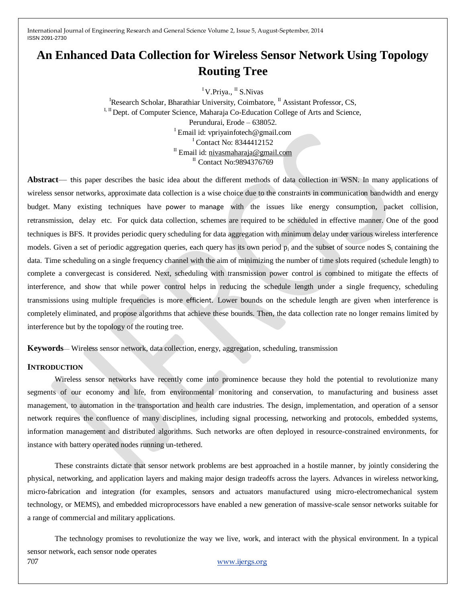# **An Enhanced Data Collection for Wireless Sensor Network Using Topology Routing Tree**

<sup>I</sup>V.Priya., <sup>II</sup> S.Nivas

<sup>I</sup>Research Scholar, Bharathiar University, Coimbatore,  $^{\text{II}}$  Assistant Professor, CS, I, II Dept. of Computer Science, Maharaja Co-Education College of Arts and Science, Perundurai, Erode – 638052. <sup>I</sup> Email id: vpriyainfotech@gmail.com <sup>I</sup> Contact No: 8344412152 <sup>II</sup> Email id: [nivasmaharaja@gmail.com](mailto:nivasmaharaja@gmail.com) <sup>II</sup> Contact No: 9894376769

**Abstract**— this paper describes the basic idea about the different methods of data collection in WSN. In many applications of wireless sensor networks, approximate data collection is a wise choice due to the constraints in communication bandwidth and energy budget. Many existing techniques have power to manage with the issues like energy consumption, packet collision, retransmission, delay etc. For quick data collection, schemes are required to be scheduled in effective manner. One of the good techniques is BFS. It provides periodic query scheduling for data aggregation with minimum delay under various wireless interference models. Given a set of periodic aggregation queries, each query has its own period  $p_i$  and the subset of source nodes  $S_i$  containing the data. Time scheduling on a single frequency channel with the aim of minimizing the number of time slots required (schedule length) to complete a convergecast is considered. Next, scheduling with transmission power control is combined to mitigate the effects of interference, and show that while power control helps in reducing the schedule length under a single frequency, scheduling transmissions using multiple frequencies is more efficient. Lower bounds on the schedule length are given when interference is completely eliminated, and propose algorithms that achieve these bounds. Then, the data collection rate no longer remains limited by interference but by the topology of the routing tree.

**Keywords**— Wireless sensor network, data collection, energy, aggregation, scheduling, transmission

#### **INTRODUCTION**

Wireless sensor networks have recently come into prominence because they hold the potential to revolutionize many segments of our economy and life, from environmental monitoring and conservation, to manufacturing and business asset management, to automation in the transportation and health care industries. The design, implementation, and operation of a sensor network requires the confluence of many disciplines, including signal processing, networking and protocols, embedded systems, information management and distributed algorithms. Such networks are often deployed in resource-constrained environments, for instance with battery operated nodes running un-tethered.

These constraints dictate that sensor network problems are best approached in a hostile manner, by jointly considering the physical, networking, and application layers and making major design tradeoffs across the layers. Advances in wireless networking, micro-fabrication and integration (for examples, sensors and actuators manufactured using micro-electromechanical system technology, or MEMS), and embedded microprocessors have enabled a new generation of massive-scale sensor networks suitable for a range of commercial and military applications.

707 [www.ijergs.org](http://www.ijergs.org/) The technology promises to revolutionize the way we live, work, and interact with the physical environment. In a typical sensor network, each sensor node operates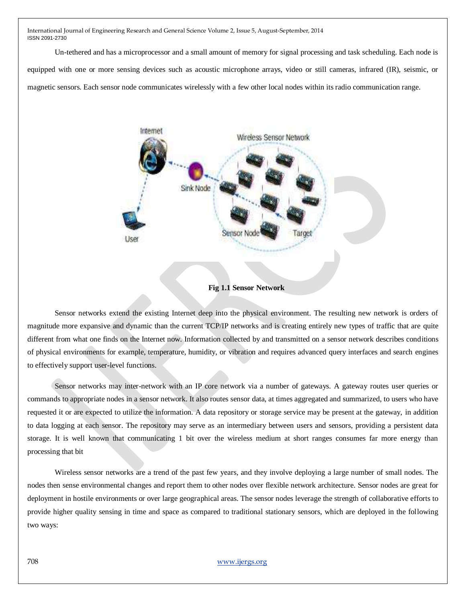Un-tethered and has a microprocessor and a small amount of memory for signal processing and task scheduling. Each node is equipped with one or more sensing devices such as acoustic microphone arrays, video or still cameras, infrared (IR), seismic, or magnetic sensors. Each sensor node communicates wirelessly with a few other local nodes within its radio communication range.



**Fig 1.1 Sensor Network**

Sensor networks extend the existing Internet deep into the physical environment. The resulting new network is orders of magnitude more expansive and dynamic than the current TCP/IP networks and is creating entirely new types of traffic that are quite different from what one finds on the Internet now. Information collected by and transmitted on a sensor network describes conditions of physical environments for example, temperature, humidity, or vibration and requires advanced query interfaces and search engines to effectively support user-level functions.

Sensor networks may inter-network with an IP core network via a number of gateways. A gateway routes user queries or commands to appropriate nodes in a sensor network. It also routes sensor data, at times aggregated and summarized, to users who have requested it or are expected to utilize the information. A data repository or storage service may be present at the gateway, in addition to data logging at each sensor. The repository may serve as an intermediary between users and sensors, providing a persistent data storage. It is well known that communicating 1 bit over the wireless medium at short ranges consumes far more energy than processing that bit

Wireless sensor networks are a trend of the past few years, and they involve deploying a large number of small nodes. The nodes then sense environmental changes and report them to other nodes over flexible network architecture. Sensor nodes are great for deployment in hostile environments or over large geographical areas. The sensor nodes leverage the strength of collaborative efforts to provide higher quality sensing in time and space as compared to traditional stationary sensors, which are deployed in the following two ways: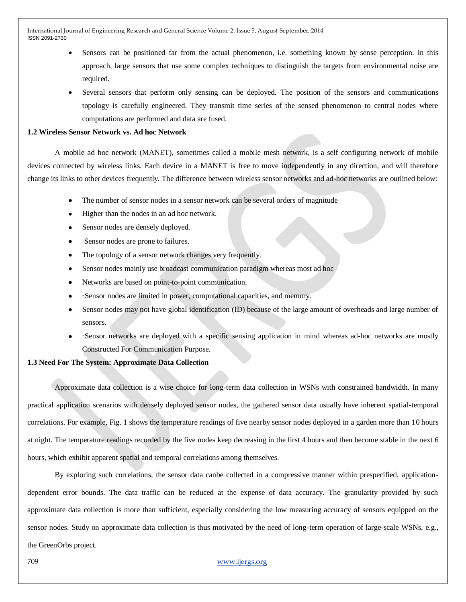- Sensors can be positioned far from the actual phenomenon, i.e. something known by sense perception. In this approach, large sensors that use some complex techniques to distinguish the targets from environmental noise are required.
- Several sensors that perform only sensing can be deployed. The position of the sensors and communications topology is carefully engineered. They transmit time series of the sensed phenomenon to central nodes where computations are performed and data are fused.

#### **1.2 Wireless Sensor Network vs. Ad hoc Network**

A mobile ad hoc network (MANET), sometimes called a mobile mesh network, is a self configuring network of mobile devices connected by wireless links. Each device in a MANET is free to move independently in any direction, and will therefore change its links to other devices frequently. The difference between wireless sensor networks and ad-hoc networks are outlined below:

- The number of sensor nodes in a sensor network can be several orders of magnitude
- Higher than the nodes in an ad hoc network.
- Sensor nodes are densely deployed.
- Sensor nodes are prone to failures.
- The topology of a sensor network changes very frequently.
- Sensor nodes mainly use broadcast communication paradigm whereas most ad hoc
- Networks are based on point-to-point communication.
- ·Sensor nodes are limited in power, computational capacities, and memory.
- Sensor nodes may not have global identification (ID) because of the large amount of overheads and large number of sensors.
- ·Sensor networks are deployed with a specific sensing application in mind whereas ad-hoc networks are mostly Constructed For Communication Purpose.

# **1.3 Need For The System: Approximate Data Collection**

Approximate data collection is a wise choice for long-term data collection in WSNs with constrained bandwidth. In many practical application scenarios with densely deployed sensor nodes, the gathered sensor data usually have inherent spatial-temporal correlations. For example, Fig. 1 shows the temperature readings of five nearby sensor nodes deployed in a garden more than 10 hours at night. The temperature readings recorded by the five nodes keep decreasing in the first 4 hours and then become stable in the next 6 hours, which exhibit apparent spatial and temporal correlations among themselves.

By exploring such correlations, the sensor data canbe collected in a compressive manner within prespecified, applicationdependent error bounds. The data traffic can be reduced at the expense of data accuracy. The granularity provided by such approximate data collection is more than sufficient, especially considering the low measuring accuracy of sensors equipped on the sensor nodes. Study on approximate data collection is thus motivated by the need of long-term operation of large-scale WSNs, e.g., the GreenOrbs project.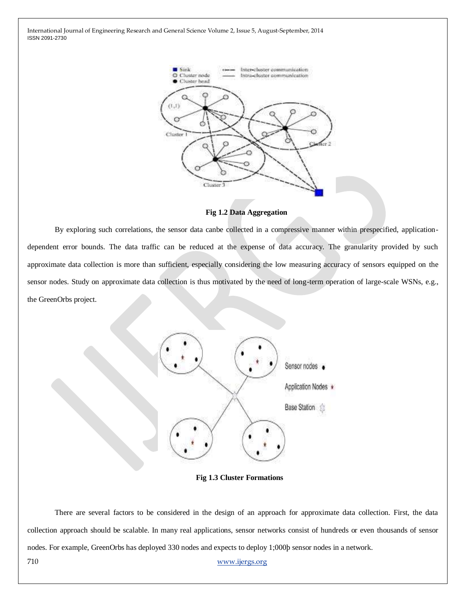

**Fig 1.2 Data Aggregation**

By exploring such correlations, the sensor data canbe collected in a compressive manner within prespecified, applicationdependent error bounds. The data traffic can be reduced at the expense of data accuracy. The granularity provided by such approximate data collection is more than sufficient, especially considering the low measuring accuracy of sensors equipped on the sensor nodes. Study on approximate data collection is thus motivated by the need of long-term operation of large-scale WSNs, e.g., the GreenOrbs project.



**Fig 1.3 Cluster Formations**

There are several factors to be considered in the design of an approach for approximate data collection. First, the data collection approach should be scalable. In many real applications, sensor networks consist of hundreds or even thousands of sensor nodes. For example, GreenOrbs has deployed 330 nodes and expects to deploy 1;000þ sensor nodes in a network.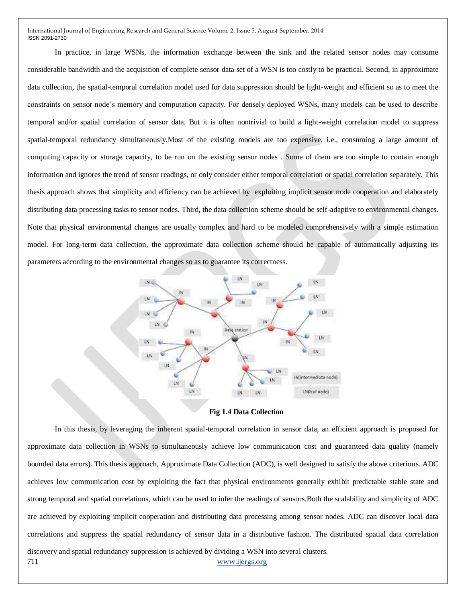In practice, in large WSNs, the information exchange between the sink and the related sensor nodes may consume considerable bandwidth and the acquisition of complete sensor data set of a WSN is too costly to be practical. Second, in approximate data collection, the spatial-temporal correlation model used for data suppression should be light-weight and efficient so as to meet the constraints on sensor node's memory and computation capacity. For densely deployed WSNs, many models can be used to describe temporal and/or spatial correlation of sensor data. But it is often nontrivial to build a light-weight correlation model to suppress spatial-temporal redundancy simultaneously.Most of the existing models are too expensive, i.e., consuming a large amount of computing capacity or storage capacity, to be run on the existing sensor nodes . Some of them are too simple to contain enough information and ignores the trend of sensor readings, or only consider either temporal correlation or spatial correlation separately. This thesis approach shows that simplicity and efficiency can be achieved by exploiting implicit sensor node cooperation and elaborately distributing data processing tasks to sensor nodes. Third, the data collection scheme should be self-adaptive to environmental changes. Note that physical environmental changes are usually complex and hard to be modeled comprehensively with a simple estimation model. For long-term data collection, the approximate data collection scheme should be capable of automatically adjusting its parameters according to the environmental changes so as to guarantee its correctness.



**Fig 1.4 Data Collection**

711 [www.ijergs.org](http://www.ijergs.org/) In this thesis, by leveraging the inherent spatial-temporal correlation in sensor data, an efficient approach is proposed for approximate data collection in WSNs to simultaneously achieve low communication cost and guaranteed data quality (namely bounded data errors). This thesis approach, Approximate Data Collection (ADC), is well designed to satisfy the above criterions. ADC achieves low communication cost by exploiting the fact that physical environments generally exhibit predictable stable state and strong temporal and spatial correlations, which can be used to infer the readings of sensors.Both the scalability and simplicity of ADC are achieved by exploiting implicit cooperation and distributing data processing among sensor nodes. ADC can discover local data correlations and suppress the spatial redundancy of sensor data in a distributive fashion. The distributed spatial data correlation discovery and spatial redundancy suppression is achieved by dividing a WSN into several clusters.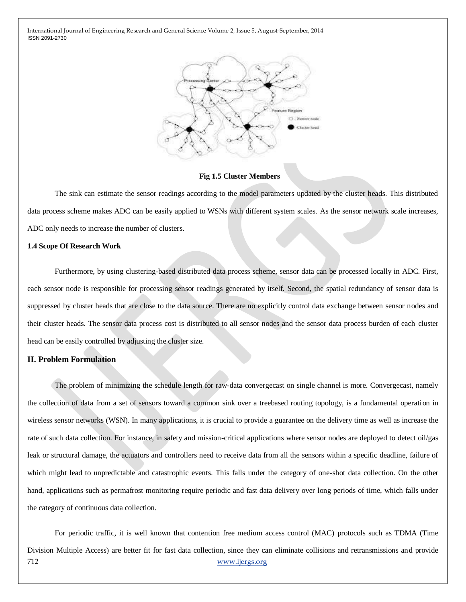

**Fig 1.5 Cluster Members**

The sink can estimate the sensor readings according to the model parameters updated by the cluster heads. This distributed data process scheme makes ADC can be easily applied to WSNs with different system scales. As the sensor network scale increases, ADC only needs to increase the number of clusters.

#### **1.4 Scope Of Research Work**

Furthermore, by using clustering-based distributed data process scheme, sensor data can be processed locally in ADC. First, each sensor node is responsible for processing sensor readings generated by itself. Second, the spatial redundancy of sensor data is suppressed by cluster heads that are close to the data source. There are no explicitly control data exchange between sensor nodes and their cluster heads. The sensor data process cost is distributed to all sensor nodes and the sensor data process burden of each cluster head can be easily controlled by adjusting the cluster size.

# **II. Problem Formulation**

The problem of minimizing the schedule length for raw-data convergecast on single channel is more. Convergecast, namely the collection of data from a set of sensors toward a common sink over a treebased routing topology, is a fundamental operation in wireless sensor networks (WSN). In many applications, it is crucial to provide a guarantee on the delivery time as well as increase the rate of such data collection. For instance, in safety and mission-critical applications where sensor nodes are deployed to detect oil/gas leak or structural damage, the actuators and controllers need to receive data from all the sensors within a specific deadline, failure of which might lead to unpredictable and catastrophic events. This falls under the category of one-shot data collection. On the other hand, applications such as permafrost monitoring require periodic and fast data delivery over long periods of time, which falls under the category of continuous data collection.

712 [www.ijergs.org](http://www.ijergs.org/) For periodic traffic, it is well known that contention free medium access control (MAC) protocols such as TDMA (Time Division Multiple Access) are better fit for fast data collection, since they can eliminate collisions and retransmissions and provide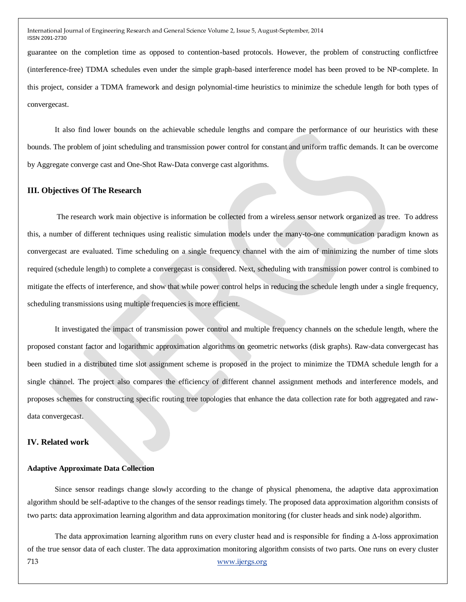guarantee on the completion time as opposed to contention-based protocols. However, the problem of constructing conflictfree (interference-free) TDMA schedules even under the simple graph-based interference model has been proved to be NP-complete. In this project, consider a TDMA framework and design polynomial-time heuristics to minimize the schedule length for both types of convergecast.

It also find lower bounds on the achievable schedule lengths and compare the performance of our heuristics with these bounds. The problem of joint scheduling and transmission power control for constant and uniform traffic demands. It can be overcome by Aggregate converge cast and One-Shot Raw-Data converge cast algorithms.

#### **III. Objectives Of The Research**

The research work main objective is information be collected from a wireless sensor network organized as tree. To address this, a number of different techniques using realistic simulation models under the many-to-one communication paradigm known as convergecast are evaluated. Time scheduling on a single frequency channel with the aim of minimizing the number of time slots required (schedule length) to complete a convergecast is considered. Next, scheduling with transmission power control is combined to mitigate the effects of interference, and show that while power control helps in reducing the schedule length under a single frequency, scheduling transmissions using multiple frequencies is more efficient.

It investigated the impact of transmission power control and multiple frequency channels on the schedule length, where the proposed constant factor and logarithmic approximation algorithms on geometric networks (disk graphs). Raw-data convergecast has been studied in a distributed time slot assignment scheme is proposed in the project to minimize the TDMA schedule length for a single channel. The project also compares the efficiency of different channel assignment methods and interference models, and proposes schemes for constructing specific routing tree topologies that enhance the data collection rate for both aggregated and rawdata convergecast.

#### **IV. Related work**

#### **Adaptive Approximate Data Collection**

Since sensor readings change slowly according to the change of physical phenomena, the adaptive data approximation algorithm should be self-adaptive to the changes of the sensor readings timely. The proposed data approximation algorithm consists of two parts: data approximation learning algorithm and data approximation monitoring (for cluster heads and sink node) algorithm.

713 [www.ijergs.org](http://www.ijergs.org/) The data approximation learning algorithm runs on every cluster head and is responsible for finding a  $\Delta$ -loss approximation of the true sensor data of each cluster. The data approximation monitoring algorithm consists of two parts. One runs on every cluster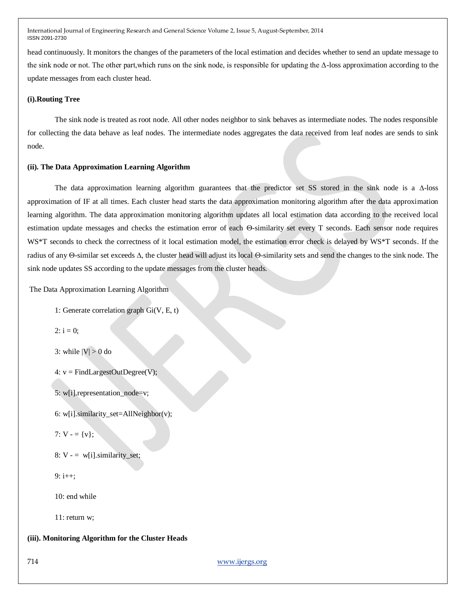head continuously. It monitors the changes of the parameters of the local estimation and decides whether to send an update message to the sink node or not. The other part,which runs on the sink node, is responsible for updating the Δ-loss approximation according to the update messages from each cluster head.

# **(i).Routing Tree**

The sink node is treated as root node. All other nodes neighbor to sink behaves as intermediate nodes. The nodes responsible for collecting the data behave as leaf nodes. The intermediate nodes aggregates the data received from leaf nodes are sends to sink node.

#### **(ii). The Data Approximation Learning Algorithm**

The data approximation learning algorithm guarantees that the predictor set SS stored in the sink node is a  $\Delta$ -loss approximation of IF at all times. Each cluster head starts the data approximation monitoring algorithm after the data approximation learning algorithm. The data approximation monitoring algorithm updates all local estimation data according to the received local estimation update messages and checks the estimation error of each  $\Theta$ -similarity set every T seconds. Each sensor node requires WS\*T seconds to check the correctness of it local estimation model, the estimation error check is delayed by WS\*T seconds. If the radius of any  $\Theta$ -similar set exceeds  $\Delta$ , the cluster head will adjust its local  $\Theta$ -similarity sets and send the changes to the sink node. The sink node updates SS according to the update messages from the cluster heads.

The Data Approximation Learning Algorithm

```
1: Generate correlation graph Gi(V, E, t)
```

```
2: i = 0:
```

```
3: while |V| > 0 do
```

```
4: v = FindLargestOutDegree(V);
```
5: w[i].representation\_node=v;

6: w[i].similarity\_set=AllNeighbor(v);

```
7: V - = \{v\};
```

```
8: V = w[i]. similarity_set;
```
 $9: i++$ :

 $10<sup>°</sup>$  end while

11: return w;

### **(iii). Monitoring Algorithm for the Cluster Heads**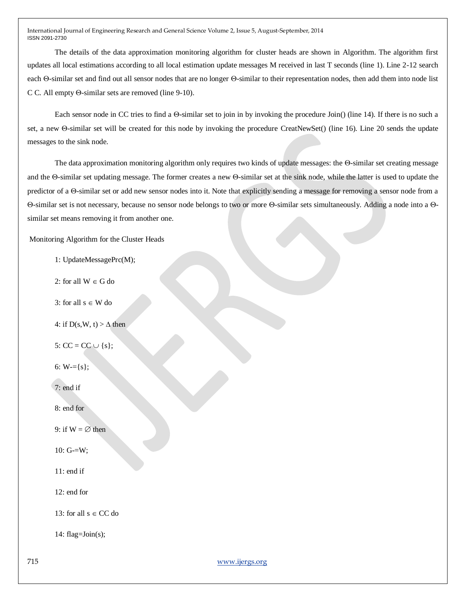The details of the data approximation monitoring algorithm for cluster heads are shown in Algorithm. The algorithm first updates all local estimations according to all local estimation update messages M received in last T seconds (line 1). Line 2-12 search each  $\Theta$ -similar set and find out all sensor nodes that are no longer  $\Theta$ -similar to their representation nodes, then add them into node list C C. All empty  $\Theta$ -similar sets are removed (line 9-10).

Each sensor node in CC tries to find a  $\Theta$ -similar set to join in by invoking the procedure Join() (line 14). If there is no such a set, a new  $\Theta$ -similar set will be created for this node by invoking the procedure CreatNewSet() (line 16). Line 20 sends the update messages to the sink node.

The data approximation monitoring algorithm only requires two kinds of update messages: the  $\Theta$ -similar set creating message and the  $\Theta$ -similar set updating message. The former creates a new  $\Theta$ -similar set at the sink node, while the latter is used to update the predictor of a  $\Theta$ -similar set or add new sensor nodes into it. Note that explicitly sending a message for removing a sensor node from a  $\Theta$ -similar set is not necessary, because no sensor node belongs to two or more  $\Theta$ -similar sets simultaneously. Adding a node into a  $\Theta$ similar set means removing it from another one.

Monitoring Algorithm for the Cluster Heads

- 1: UpdateMessagePrc(M);
- 2: for all  $W \in G$  do
- 3: for all  $s \in W$  do
- 4: if  $D(s, W, t) > \Delta$  then

5:  $CC = CC \cup \{s\};$ 

6:  $W = \{s\};$ 

7: end if

8: end for

9: if  $W = \emptyset$  then

10: G-=W;

11: end if

12: end for

13: for all  $s \in CC$  do

14: flag= $Join(s);$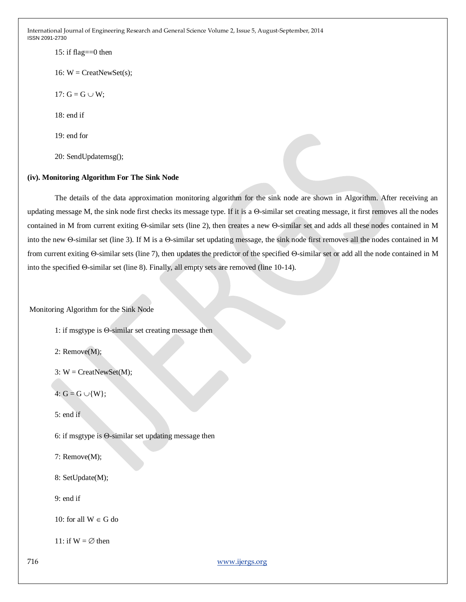15: if flag $==0$  then

16:  $W =$  CreatNewSet(s);

17:  $G = G \cup W$ ;

 $18:$  end if

19: end for

20: SendUpdatemsg();

# **(iv). Monitoring Algorithm For The Sink Node**

The details of the data approximation monitoring algorithm for the sink node are shown in Algorithm. After receiving an updating message M, the sink node first checks its message type. If it is a  $\Theta$ -similar set creating message, it first removes all the nodes contained in M from current exiting  $\Theta$ -similar sets (line 2), then creates a new  $\Theta$ -similar set and adds all these nodes contained in M into the new  $\Theta$ -similar set (line 3). If M is a  $\Theta$ -similar set updating message, the sink node first removes all the nodes contained in M from current exiting  $\Theta$ -similar sets (line 7), then updates the predictor of the specified  $\Theta$ -similar set or add all the node contained in M into the specified  $\Theta$ -similar set (line 8). Finally, all empty sets are removed (line 10-14).

Monitoring Algorithm for the Sink Node

1: if msgtype is  $\Theta$ -similar set creating message then

2: Remove(M);

 $3: W = \text{CreatNewSet}(M);$ 

4:  $G = G \cup \{W\}$ ;

5: end if

6: if msgtype is  $\Theta$ -similar set updating message then

7: Remove(M);

8: SetUpdate(M);

9: end if

10: for all  $W \in G$  do

11: if  $W = \emptyset$  then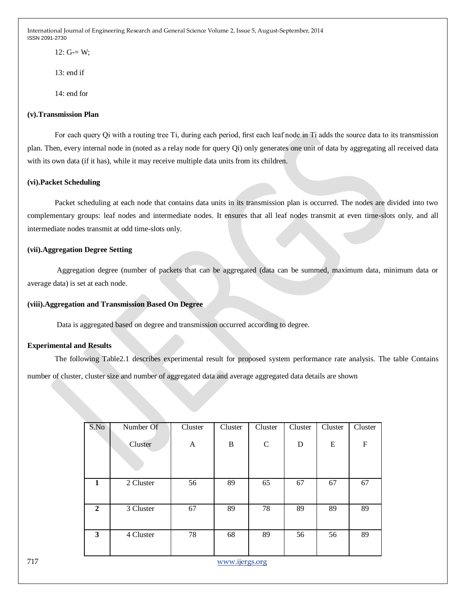$12: G = W$ :

13: end if

14: end for

# **(v).Transmission Plan**

For each query Qi with a routing tree Ti, during each period, first each leaf node in Ti adds the source data to its transmission plan. Then, every internal node in (noted as a relay node for query Qi) only generates one unit of data by aggregating all received data with its own data (if it has), while it may receive multiple data units from its children.

### **(vi).Packet Scheduling**

Packet scheduling at each node that contains data units in its transmission plan is occurred. The nodes are divided into two complementary groups: leaf nodes and intermediate nodes. It ensures that all leaf nodes transmit at even time-slots only, and all intermediate nodes transmit at odd time-slots only.

# **(vii).Aggregation Degree Setting**

Aggregation degree (number of packets that can be aggregated (data can be summed, maximum data, minimum data or average data) is set at each node.

### **(viii).Aggregation and Transmission Based On Degree**

Data is aggregated based on degree and transmission occurred according to degree.

### **Experimental and Results**

The following Table2.1 describes experimental result for proposed system performance rate analysis. The table Contains number of cluster, cluster size and number of aggregated data and average aggregated data details are shown

| S.No         | Number Of | Cluster | Cluster | Cluster     | Cluster | Cluster | Cluster                   |
|--------------|-----------|---------|---------|-------------|---------|---------|---------------------------|
|              | Cluster   | A       | B       | $\mathbf C$ | D       | E       | $\boldsymbol{\mathrm{F}}$ |
| 1            | 2 Cluster | 56      | 89      | 65          | 67      | 67      | 67                        |
| $\mathbf{2}$ | 3 Cluster | 67      | 89      | 78          | 89      | 89      | 89                        |
| 3            | 4 Cluster | 78      | 68      | 89          | 56      | 56      | 89                        |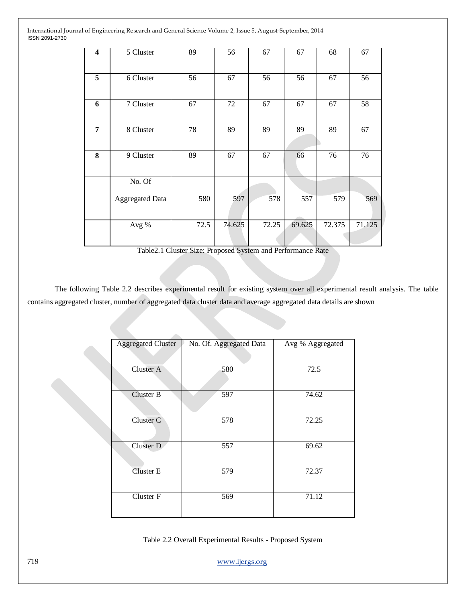| $\overline{\mathbf{4}}$ | 5 Cluster              | 89   | 56     | 67    | 67     | 68     | 67     |
|-------------------------|------------------------|------|--------|-------|--------|--------|--------|
| 5                       | 6 Cluster              | 56   | 67     | 56    | 56     | 67     | 56     |
| 6                       | 7 Cluster              | 67   | 72     | 67    | 67     | 67     | 58     |
| $\overline{7}$          | 8 Cluster              | 78   | 89     | 89    | 89     | 89     | 67     |
| 8                       | 9 Cluster              | 89   | 67     | 67    | 66     | 76     | 76     |
|                         | No. Of                 |      |        |       |        |        |        |
|                         | <b>Aggregated Data</b> | 580  | 597    | 578   | 557    | 579    | 569    |
|                         | Avg %                  | 72.5 | 74.625 | 72.25 | 69.625 | 72.375 | 71.125 |

Table2.1 Cluster Size: Proposed System and Performance Rate

The following Table 2.2 describes experimental result for existing system over all experimental result analysis. The table contains aggregated cluster, number of aggregated data cluster data and average aggregated data details are shown

| <b>Aggregated Cluster</b> | No. Of. Aggregated Data | Avg % Aggregated |
|---------------------------|-------------------------|------------------|
| Cluster A                 | 580                     | 72.5             |
| Cluster B                 | 597                     | 74.62            |
| Cluster C                 | 578                     | 72.25            |
| Cluster D                 | 557                     | 69.62            |
| <b>Cluster E</b>          | 579                     | 72.37            |
| Cluster F                 | 569                     | 71.12            |

Table 2.2 Overall Experimental Results - Proposed System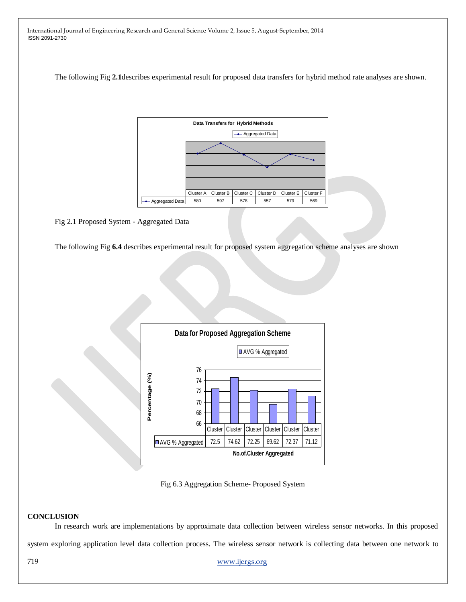The following Fig **2.1**describes experimental result for proposed data transfers for hybrid method rate analyses are shown.



Fig 2.1 Proposed System - Aggregated Data

The following Fig **6.4** describes experimental result for proposed system aggregation scheme analyses are shown



Fig 6.3 Aggregation Scheme- Proposed System

### **CONCLUSION**

In research work are implementations by approximate data collection between wireless sensor networks. In this proposed system exploring application level data collection process. The wireless sensor network is collecting data between one network to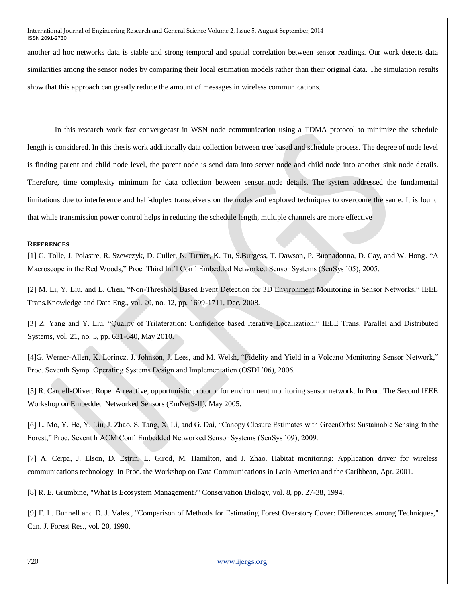another ad hoc networks data is stable and strong temporal and spatial correlation between sensor readings. Our work detects data similarities among the sensor nodes by comparing their local estimation models rather than their original data. The simulation results show that this approach can greatly reduce the amount of messages in wireless communications.

In this research work fast convergecast in WSN node communication using a TDMA protocol to minimize the schedule length is considered. In this thesis work additionally data collection between tree based and schedule process. The degree of node level is finding parent and child node level, the parent node is send data into server node and child node into another sink node details. Therefore, time complexity minimum for data collection between sensor node details. The system addressed the fundamental limitations due to interference and half-duplex transceivers on the nodes and explored techniques to overcome the same. It is found that while transmission power control helps in reducing the schedule length, multiple channels are more effective

#### **REFERENCES**

[1] G. Tolle, J. Polastre, R. Szewczyk, D. Culler, N. Turner, K. Tu, S.Burgess, T. Dawson, P. Buonadonna, D. Gay, and W. Hong, "A Macroscope in the Red Woods," Proc. Third Int'l Conf. Embedded Networked Sensor Systems (SenSys '05), 2005.

[2] M. Li, Y. Liu, and L. Chen, "Non-Threshold Based Event Detection for 3D Environment Monitoring in Sensor Networks," IEEE Trans.Knowledge and Data Eng., vol. 20, no. 12, pp. 1699-1711, Dec. 2008.

[3] Z. Yang and Y. Liu, "Quality of Trilateration: Confidence based Iterative Localization," IEEE Trans. Parallel and Distributed Systems, vol. 21, no. 5, pp. 631-640, May 2010.

[4]G. Werner-Allen, K. Lorincz, J. Johnson, J. Lees, and M. Welsh, "Fidelity and Yield in a Volcano Monitoring Sensor Network," Proc. Seventh Symp. Operating Systems Design and Implementation (OSDI '06), 2006.

[5] R. Cardell-Oliver. Rope: A reactive, opportunistic protocol for environment monitoring sensor network. In Proc. The Second IEEE Workshop on Embedded Networked Sensors (EmNetS-II), May 2005.

[6] L. Mo, Y. He, Y. Liu, J. Zhao, S. Tang, X. Li, and G. Dai, "Canopy Closure Estimates with GreenOrbs: Sustainable Sensing in the Forest," Proc. Sevent h ACM Conf. Embedded Networked Sensor Systems (SenSys '09), 2009.

[7] A. Cerpa, J. Elson, D. Estrin, L. Girod, M. Hamilton, and J. Zhao. Habitat monitoring: Application driver for wireless communications technology. In Proc. the Workshop on Data Communications in Latin America and the Caribbean, Apr. 2001.

[8] R. E. Grumbine, "What Is Ecosystem Management?" Conservation Biology, vol. 8, pp. 27-38, 1994.

[9] F. L. Bunnell and D. J. Vales., "Comparison of Methods for Estimating Forest Overstory Cover: Differences among Techniques," Can. J. Forest Res., vol. 20, 1990.